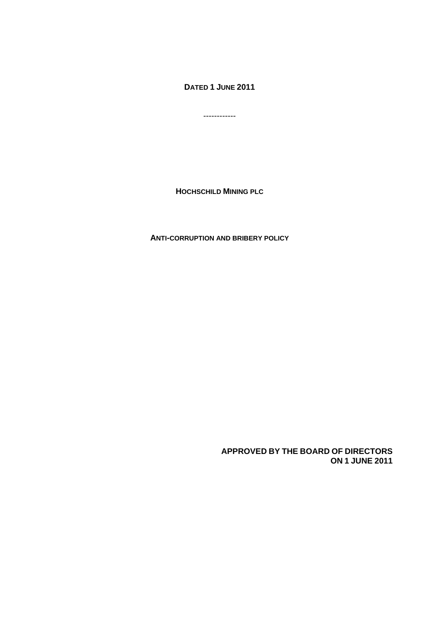**DATED 1 JUNE 2011** 

------------

**HOCHSCHILD MINING PLC**

**ANTI-CORRUPTION AND BRIBERY POLICY**

**APPROVED BY THE BOARD OF DIRECTORS ON 1 JUNE 2011**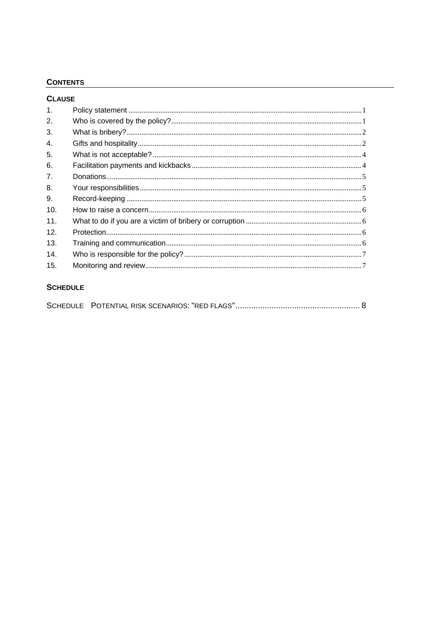# **CONTENTS**

| <b>CLAUSE</b>  |  |
|----------------|--|
| $\mathbf{1}$ . |  |
| 2.             |  |
| 3.             |  |
| 4.             |  |
| 5.             |  |
| 6.             |  |
| 7 <sub>1</sub> |  |
| 8.             |  |
| 9.             |  |
| 10.            |  |
| 11.            |  |
| 12.            |  |
| 13.            |  |
| 14.            |  |
| 15.            |  |
|                |  |

## **SCHEDULE**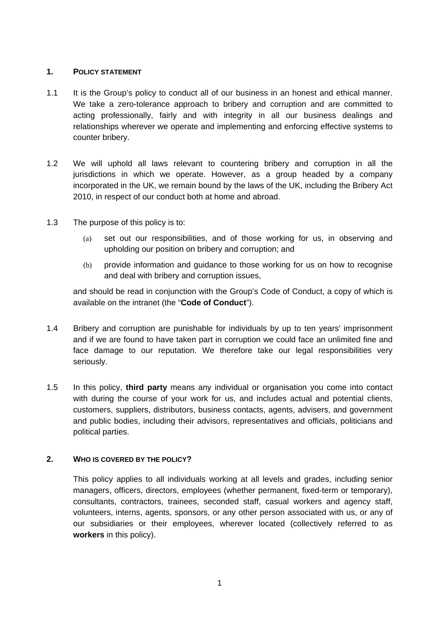## **1. POLICY STATEMENT**

- 1.1 It is the Group's policy to conduct all of our business in an honest and ethical manner. We take a zero-tolerance approach to bribery and corruption and are committed to acting professionally, fairly and with integrity in all our business dealings and relationships wherever we operate and implementing and enforcing effective systems to counter bribery.
- 1.2 We will uphold all laws relevant to countering bribery and corruption in all the jurisdictions in which we operate. However, as a group headed by a company incorporated in the UK, we remain bound by the laws of the UK, including the Bribery Act 2010, in respect of our conduct both at home and abroad.
- 1.3 The purpose of this policy is to:
	- (a) set out our responsibilities, and of those working for us, in observing and upholding our position on bribery and corruption; and
	- (b) provide information and guidance to those working for us on how to recognise and deal with bribery and corruption issues,

and should be read in conjunction with the Group's Code of Conduct, a copy of which is available on the intranet (the "**Code of Conduct**").

- 1.4 Bribery and corruption are punishable for individuals by up to ten years' imprisonment and if we are found to have taken part in corruption we could face an unlimited fine and face damage to our reputation. We therefore take our legal responsibilities very seriously.
- 1.5 In this policy, **third party** means any individual or organisation you come into contact with during the course of your work for us, and includes actual and potential clients, customers, suppliers, distributors, business contacts, agents, advisers, and government and public bodies, including their advisors, representatives and officials, politicians and political parties.

## **2. WHO IS COVERED BY THE POLICY?**

This policy applies to all individuals working at all levels and grades, including senior managers, officers, directors, employees (whether permanent, fixed-term or temporary), consultants, contractors, trainees, seconded staff, casual workers and agency staff, volunteers, interns, agents, sponsors, or any other person associated with us, or any of our subsidiaries or their employees, wherever located (collectively referred to as **workers** in this policy).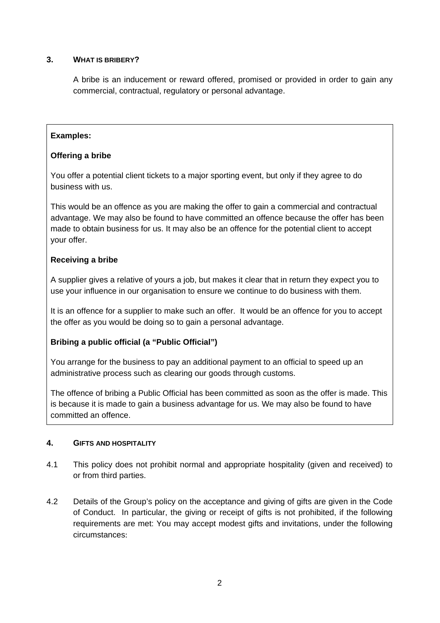# **3. WHAT IS BRIBERY?**

A bribe is an inducement or reward offered, promised or provided in order to gain any commercial, contractual, regulatory or personal advantage.

# **Examples:**

# **Offering a bribe**

You offer a potential client tickets to a major sporting event, but only if they agree to do business with us.

This would be an offence as you are making the offer to gain a commercial and contractual advantage. We may also be found to have committed an offence because the offer has been made to obtain business for us. It may also be an offence for the potential client to accept your offer.

# **Receiving a bribe**

A supplier gives a relative of yours a job, but makes it clear that in return they expect you to use your influence in our organisation to ensure we continue to do business with them.

It is an offence for a supplier to make such an offer. It would be an offence for you to accept the offer as you would be doing so to gain a personal advantage.

# **Bribing a public official (a "Public Official")**

You arrange for the business to pay an additional payment to an official to speed up an administrative process such as clearing our goods through customs.

The offence of bribing a Public Official has been committed as soon as the offer is made. This is because it is made to gain a business advantage for us. We may also be found to have committed an offence.

## **4. GIFTS AND HOSPITALITY**

- 4.1 This policy does not prohibit normal and appropriate hospitality (given and received) to or from third parties.
- 4.2 Details of the Group's policy on the acceptance and giving of gifts are given in the Code of Conduct. In particular, the giving or receipt of gifts is not prohibited, if the following requirements are met: You may accept modest gifts and invitations, under the following circumstances: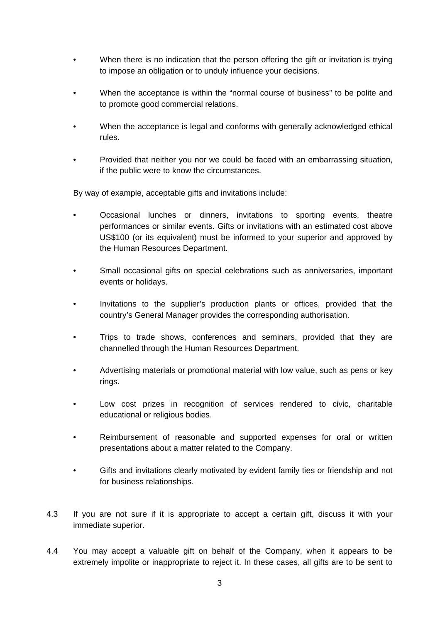- When there is no indication that the person offering the gift or invitation is trying to impose an obligation or to unduly influence your decisions.
- When the acceptance is within the "normal course of business" to be polite and to promote good commercial relations.
- When the acceptance is legal and conforms with generally acknowledged ethical rules.
- Provided that neither you nor we could be faced with an embarrassing situation, if the public were to know the circumstances.

By way of example, acceptable gifts and invitations include:

- Occasional lunches or dinners, invitations to sporting events, theatre performances or similar events. Gifts or invitations with an estimated cost above US\$100 (or its equivalent) must be informed to your superior and approved by the Human Resources Department.
- Small occasional gifts on special celebrations such as anniversaries, important events or holidays.
- Invitations to the supplier's production plants or offices, provided that the country's General Manager provides the corresponding authorisation.
- Trips to trade shows, conferences and seminars, provided that they are channelled through the Human Resources Department.
- Advertising materials or promotional material with low value, such as pens or key rings.
- Low cost prizes in recognition of services rendered to civic, charitable educational or religious bodies.
- Reimbursement of reasonable and supported expenses for oral or written presentations about a matter related to the Company.
- Gifts and invitations clearly motivated by evident family ties or friendship and not for business relationships.
- 4.3 If you are not sure if it is appropriate to accept a certain gift, discuss it with your immediate superior.
- 4.4 You may accept a valuable gift on behalf of the Company, when it appears to be extremely impolite or inappropriate to reject it. In these cases, all gifts are to be sent to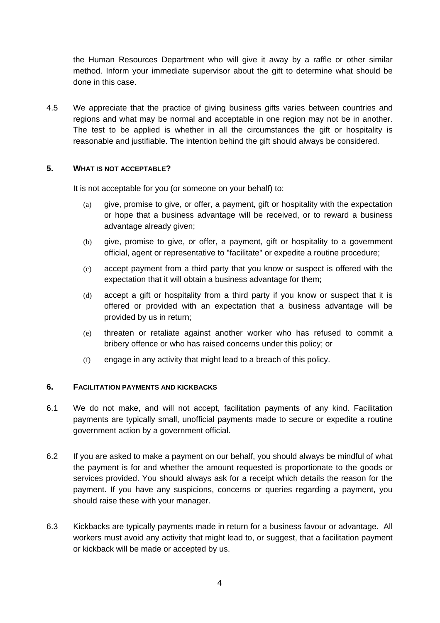the Human Resources Department who will give it away by a raffle or other similar method. Inform your immediate supervisor about the gift to determine what should be done in this case.

4.5 We appreciate that the practice of giving business gifts varies between countries and regions and what may be normal and acceptable in one region may not be in another. The test to be applied is whether in all the circumstances the gift or hospitality is reasonable and justifiable. The intention behind the gift should always be considered.

## **5. WHAT IS NOT ACCEPTABLE?**

It is not acceptable for you (or someone on your behalf) to:

- (a) give, promise to give, or offer, a payment, gift or hospitality with the expectation or hope that a business advantage will be received, or to reward a business advantage already given;
- (b) give, promise to give, or offer, a payment, gift or hospitality to a government official, agent or representative to "facilitate" or expedite a routine procedure;
- (c) accept payment from a third party that you know or suspect is offered with the expectation that it will obtain a business advantage for them;
- (d) accept a gift or hospitality from a third party if you know or suspect that it is offered or provided with an expectation that a business advantage will be provided by us in return;
- (e) threaten or retaliate against another worker who has refused to commit a bribery offence or who has raised concerns under this policy; or
- (f) engage in any activity that might lead to a breach of this policy.

## **6. FACILITATION PAYMENTS AND KICKBACKS**

- 6.1 We do not make, and will not accept, facilitation payments of any kind. Facilitation payments are typically small, unofficial payments made to secure or expedite a routine government action by a government official.
- 6.2 If you are asked to make a payment on our behalf, you should always be mindful of what the payment is for and whether the amount requested is proportionate to the goods or services provided. You should always ask for a receipt which details the reason for the payment. If you have any suspicions, concerns or queries regarding a payment, you should raise these with your manager.
- 6.3 Kickbacks are typically payments made in return for a business favour or advantage. All workers must avoid any activity that might lead to, or suggest, that a facilitation payment or kickback will be made or accepted by us.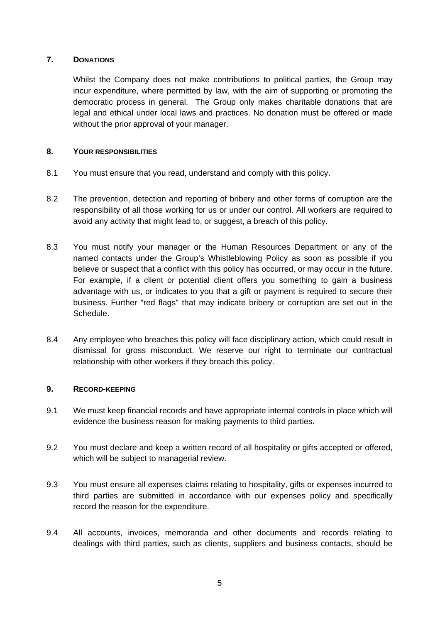## **7. DONATIONS**

Whilst the Company does not make contributions to political parties, the Group may incur expenditure, where permitted by law, with the aim of supporting or promoting the democratic process in general. The Group only makes charitable donations that are legal and ethical under local laws and practices. No donation must be offered or made without the prior approval of your manager.

## **8. YOUR RESPONSIBILITIES**

- 8.1 You must ensure that you read, understand and comply with this policy.
- 8.2 The prevention, detection and reporting of bribery and other forms of corruption are the responsibility of all those working for us or under our control. All workers are required to avoid any activity that might lead to, or suggest, a breach of this policy.
- 8.3 You must notify your manager or the Human Resources Department or any of the named contacts under the Group's Whistleblowing Policy as soon as possible if you believe or suspect that a conflict with this policy has occurred, or may occur in the future. For example, if a client or potential client offers you something to gain a business advantage with us, or indicates to you that a gift or payment is required to secure their business. Further "red flags" that may indicate bribery or corruption are set out in the Schedule.
- 8.4 Any employee who breaches this policy will face disciplinary action, which could result in dismissal for gross misconduct. We reserve our right to terminate our contractual relationship with other workers if they breach this policy.

## **9. RECORD-KEEPING**

- 9.1 We must keep financial records and have appropriate internal controls in place which will evidence the business reason for making payments to third parties.
- 9.2 You must declare and keep a written record of all hospitality or gifts accepted or offered, which will be subject to managerial review.
- 9.3 You must ensure all expenses claims relating to hospitality, gifts or expenses incurred to third parties are submitted in accordance with our expenses policy and specifically record the reason for the expenditure.
- 9.4 All accounts, invoices, memoranda and other documents and records relating to dealings with third parties, such as clients, suppliers and business contacts, should be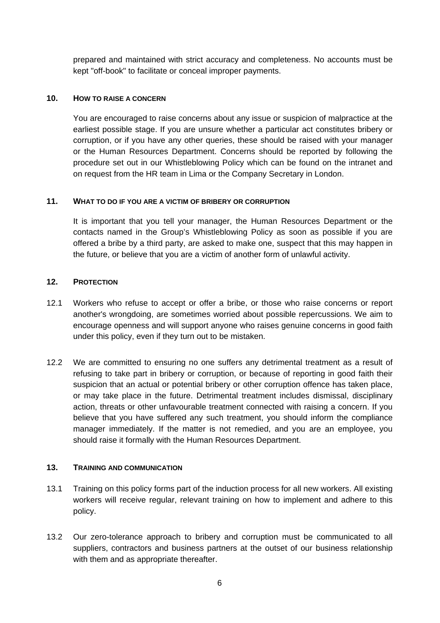prepared and maintained with strict accuracy and completeness. No accounts must be kept "off-book" to facilitate or conceal improper payments.

## **10. HOW TO RAISE A CONCERN**

You are encouraged to raise concerns about any issue or suspicion of malpractice at the earliest possible stage. If you are unsure whether a particular act constitutes bribery or corruption, or if you have any other queries, these should be raised with your manager or the Human Resources Department. Concerns should be reported by following the procedure set out in our Whistleblowing Policy which can be found on the intranet and on request from the HR team in Lima or the Company Secretary in London.

## **11. WHAT TO DO IF YOU ARE A VICTIM OF BRIBERY OR CORRUPTION**

It is important that you tell your manager, the Human Resources Department or the contacts named in the Group's Whistleblowing Policy as soon as possible if you are offered a bribe by a third party, are asked to make one, suspect that this may happen in the future, or believe that you are a victim of another form of unlawful activity.

## **12. PROTECTION**

- 12.1 Workers who refuse to accept or offer a bribe, or those who raise concerns or report another's wrongdoing, are sometimes worried about possible repercussions. We aim to encourage openness and will support anyone who raises genuine concerns in good faith under this policy, even if they turn out to be mistaken.
- 12.2 We are committed to ensuring no one suffers any detrimental treatment as a result of refusing to take part in bribery or corruption, or because of reporting in good faith their suspicion that an actual or potential bribery or other corruption offence has taken place, or may take place in the future. Detrimental treatment includes dismissal, disciplinary action, threats or other unfavourable treatment connected with raising a concern. If you believe that you have suffered any such treatment, you should inform the compliance manager immediately. If the matter is not remedied, and you are an employee, you should raise it formally with the Human Resources Department.

## **13. TRAINING AND COMMUNICATION**

- 13.1 Training on this policy forms part of the induction process for all new workers. All existing workers will receive regular, relevant training on how to implement and adhere to this policy.
- 13.2 Our zero-tolerance approach to bribery and corruption must be communicated to all suppliers, contractors and business partners at the outset of our business relationship with them and as appropriate thereafter.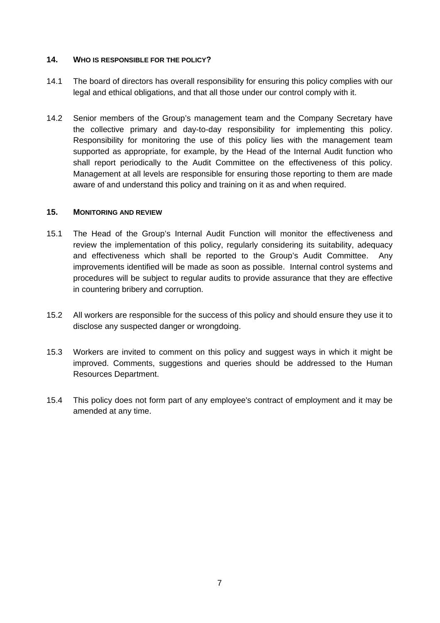## **14. WHO IS RESPONSIBLE FOR THE POLICY?**

- 14.1 The board of directors has overall responsibility for ensuring this policy complies with our legal and ethical obligations, and that all those under our control comply with it.
- 14.2 Senior members of the Group's management team and the Company Secretary have the collective primary and day-to-day responsibility for implementing this policy. Responsibility for monitoring the use of this policy lies with the management team supported as appropriate, for example, by the Head of the Internal Audit function who shall report periodically to the Audit Committee on the effectiveness of this policy. Management at all levels are responsible for ensuring those reporting to them are made aware of and understand this policy and training on it as and when required.

#### **15. MONITORING AND REVIEW**

- 15.1 The Head of the Group's Internal Audit Function will monitor the effectiveness and review the implementation of this policy, regularly considering its suitability, adequacy and effectiveness which shall be reported to the Group's Audit Committee. Any improvements identified will be made as soon as possible. Internal control systems and procedures will be subject to regular audits to provide assurance that they are effective in countering bribery and corruption.
- 15.2 All workers are responsible for the success of this policy and should ensure they use it to disclose any suspected danger or wrongdoing.
- 15.3 Workers are invited to comment on this policy and suggest ways in which it might be improved. Comments, suggestions and queries should be addressed to the Human Resources Department.
- 15.4 This policy does not form part of any employee's contract of employment and it may be amended at any time.